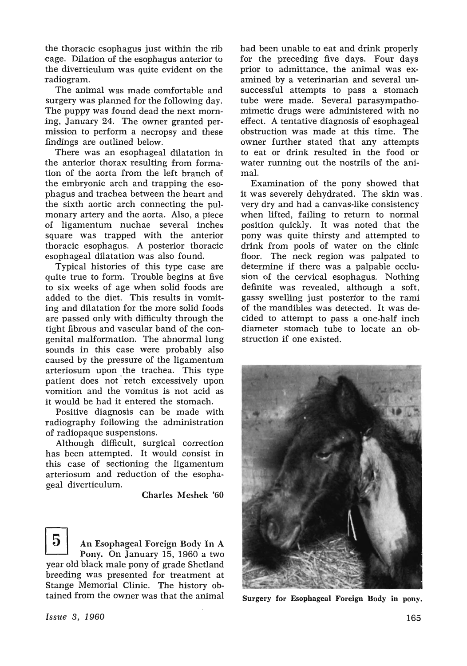the thoracic esophagus just within the rib cage. Dilation of the esophagus anterior to the diverticulum was quite evident on the radiogram.

The animal was made comfortable and surgery was planned for the following day. The puppy was found dead the next morning, January 24. The owner granted permission to perform a necropsy and these findings are outlined below.

There was an esophageal dilatation in the anterior thorax resulting from formation of the aorta from the left branch of the embryonic arch and trapping the esophagus and trachea between the heart and the sixth aortic arch connecting the pulmonary artery and the aorta. Also, a piece of ligamentum nuchae several inches square was trapped with the anterior thoracic esophagus. A posterior thoracic esophageal dilatation was also found.

Typical histories of this type case are quite true to form. Trouble begins at five to six weeks of age when solid foods are added to the diet. This results in vomiting and dilatation for the more solid foods are passed only with difficulty through the tight fibrous and vascular band of the congenital malformation. The abnormal lung sounds in this case were probably also caused by the pressure of the ligamentum arteriosum upon the trachea. This type patient does not' retch excessively upon vomition and the vomitus is not acid as it would be had it entered the stomach.

Positive diagnosis can be made with radiography following the administration of radiopaque suspensions.

Although difficult, surgical correction has been attempted. It would consist in this case of sectioning the ligamentum arteriosum and reduction of the esophageal diverticulum.

Charles Meshek '60

5 An Esophageal Foreign Body **In** A Pony. On January 15, 1960 a two year old black male pony of grade Shetland breeding was presented for treatment at Stange Memorial Clinic. The history obtained from the owner was that the animal had been unable to eat and drink properly for the preceding five days. Four days prior to admittance, the animal was examined by a veterinarian and several unsuccessful attempts to pass a stomach tube were made. Several parasympathomimetic drugs were administered with no effect. A tentative diagnosis of esophageal obstruction was made at this time. The owner further stated that any attempts to eat or drink resulted in the food or water running out the nostrils of the animal.

Examination of the pony showed that it was severely dehydrated. The skin was very dry and had a canvas-like consistency when lifted, failing to return to normal position quickly. It was noted that the pony was quite thirsty and attempted to drink from pools of water on the clinic floor. The neck region was palpated to determine if there was a palpable occlusion of the cervical esophagus. Nothing definite was revealed, although a soft, gassy swelling just posterior to the rami of the mandibles was detected. It was decided to attempt to pass a one-half inch diameter stomach tube to locate an obstruction if one existed.



Surgery for Esophageal Foreign Body in pony.

*Issue* 3, 1960